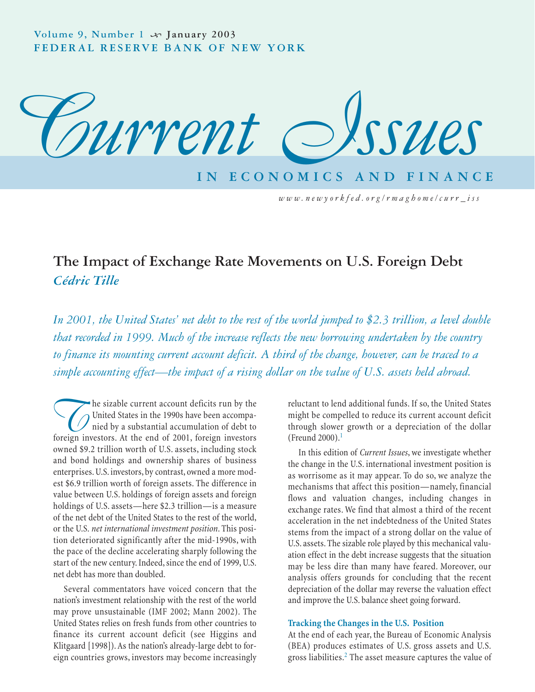

*www.newyorkfed.org/rmaghome/curr\_iss*

# **The Impact of Exchange Rate Movements on U.S. Foreign Debt** *Cédric Tille*

*In 2001, the United States' net debt to the rest of the world jumped to \$2.3 trillion, a level double that recorded in 1999. Much of the increase reflects the new borrowing undertaken by the country to finance its mounting current account deficit. A third of the change, however, can be traced to a simple accounting effect—the impact of a rising dollar on the value of U.S. assets held abroad.*

The sizable current account deficits run by the<br>
United States in the 1990s have been accompa-<br>
foreign investors. At the end of 2001, foreign investors United States in the 1990s have been accompanied by a substantial accumulation of debt to owned \$9.2 trillion worth of U.S. assets, including stock and bond holdings and ownership shares of business enterprises. U.S. investors, by contrast, owned a more modest \$6.9 trillion worth of foreign assets. The difference in value between U.S. holdings of foreign assets and foreign holdings of U.S. assets—here \$2.3 trillion—is a measure of the net debt of the United States to the rest of the world, or the U.S. *net international investment position*. This position deteriorated significantly after the mid-1990s, with the pace of the decline accelerating sharply following the start of the new century. Indeed, since the end of 1999, U.S. net debt has more than doubled.

Several commentators have voiced concern that the nation's investment relationship with the rest of the world may prove unsustainable (IMF 2002; Mann 2002). The United States relies on fresh funds from other countries to finance its current account deficit (see Higgins and Klitgaard [1998]). As the nation's already-large debt to foreign countries grows, investors may become increasingly

reluctant to lend additional funds. If so, the United States might be compelled to reduce its current account deficit through slower growth or a depreciation of the dollar (Freund 2000). $<sup>1</sup>$ </sup>

In this edition of *Current Issues*, we investigate whether the change in the U.S. international investment position is as worrisome as it may appear. To do so, we analyze the mechanisms that affect this position—namely, financial flows and valuation changes, including changes in exchange rates. We find that almost a third of the recent acceleration in the net indebtedness of the United States stems from the impact of a strong dollar on the value of U.S. assets. The sizable role played by this mechanical valuation effect in the debt increase suggests that the situation may be less dire than many have feared. Moreover, our analysis offers grounds for concluding that the recent depreciation of the dollar may reverse the valuation effect and improve the U.S. balance sheet going forward.

#### **Tracking the Changes in the U.S. Position**

At the end of each year, the Bureau of Economic Analysis (BEA) produces estimates of U.S. gross assets and U.S. gross liabilities.<sup>2</sup> The asset measure captures the value of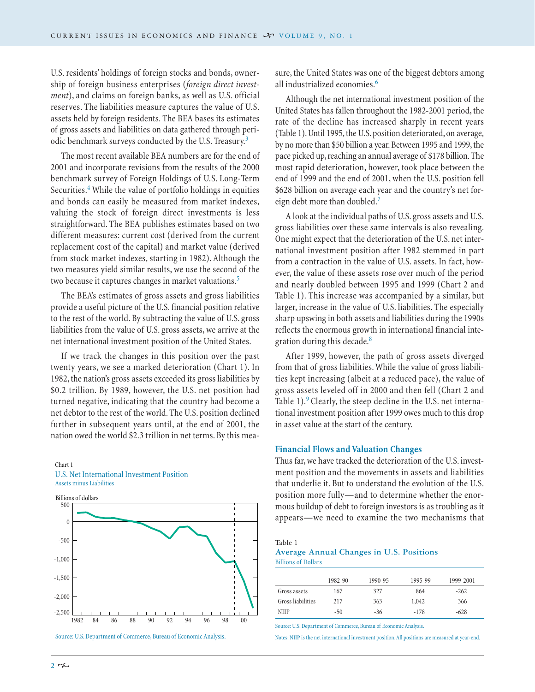U.S. residents' holdings of foreign stocks and bonds, ownership of foreign business enterprises (*foreign direct investment*), and claims on foreign banks, as well as U.S. official reserves. The liabilities measure captures the value of U.S. assets held by foreign residents. The BEA bases its estimates of gross assets and liabilities on data gathered through periodic benchmark surveys conducted by the U.S. Treasury.<sup>3</sup>

The most recent available BEA numbers are for the end of 2001 and incorporate revisions from the results of the 2000 benchmark survey of Foreign Holdings of U.S. Long-Term Securities.<sup>4</sup> While the value of portfolio holdings in equities and bonds can easily be measured from market indexes, valuing the stock of foreign direct investments is less straightforward. The BEA publishes estimates based on two different measures: current cost (derived from the current replacement cost of the capital) and market value (derived from stock market indexes, starting in 1982). Although the two measures yield similar results, we use the second of the two because it captures changes in market valuations.<sup>5</sup>

The BEA's estimates of gross assets and gross liabilities provide a useful picture of the U.S. financial position relative to the rest of the world. By subtracting the value of U.S. gross liabilities from the value of U.S. gross assets, we arrive at the net international investment position of the United States.

If we track the changes in this position over the past twenty years, we see a marked deterioration (Chart 1). In 1982, the nation's gross assets exceeded its gross liabilities by \$0.2 trillion. By 1989, however, the U.S. net position had turned negative, indicating that the country had become a net debtor to the rest of the world. The U.S. position declined further in subsequent years until, at the end of 2001, the nation owed the world \$2.3 trillion in net terms. By this mea-

#### Chart 1 U.S. Net International Investment Position Assets minus Liabilities



Source: U.S. Department of Commerce, Bureau of Economic Analysis.

sure, the United States was one of the biggest debtors among all industrialized economies.<sup>6</sup>

Although the net international investment position of the United States has fallen throughout the 1982-2001 period, the rate of the decline has increased sharply in recent years (Table 1). Until 1995, the U.S. position deteriorated, on average, by no more than \$50 billion a year. Between 1995 and 1999, the pace picked up, reaching an annual average of \$178 billion. The most rapid deterioration, however, took place between the end of 1999 and the end of 2001, when the U.S. position fell \$628 billion on average each year and the country's net foreign debt more than doubled.<sup>7</sup>

A look at the individual paths of U.S. gross assets and U.S. gross liabilities over these same intervals is also revealing. One might expect that the deterioration of the U.S. net international investment position after 1982 stemmed in part from a contraction in the value of U.S. assets. In fact, however, the value of these assets rose over much of the period and nearly doubled between 1995 and 1999 (Chart 2 and Table 1). This increase was accompanied by a similar, but larger, increase in the value of U.S. liabilities. The especially sharp upswing in both assets and liabilities during the 1990s reflects the enormous growth in international financial integration during this decade.<sup>8</sup>

After 1999, however, the path of gross assets diverged from that of gross liabilities. While the value of gross liabilities kept increasing (albeit at a reduced pace), the value of gross assets leveled off in 2000 and then fell (Chart 2 and Table 1).<sup>9</sup> Clearly, the steep decline in the U.S. net international investment position after 1999 owes much to this drop in asset value at the start of the century.

#### **Financial Flows and Valuation Changes**

Thus far, we have tracked the deterioration of the U.S. investment position and the movements in assets and liabilities that underlie it. But to understand the evolution of the U.S. position more fully—and to determine whether the enormous buildup of debt to foreign investors is as troubling as it appears—we need to examine the two mechanisms that

#### Table 1

#### **Average Annual Changes in U.S. Positions** Billions of Dollars

|                   | 1982-90 | 1990-95 | 1995-99 | 1999-2001 |
|-------------------|---------|---------|---------|-----------|
| Gross assets      | 167     | 327     | 864     | $-262$    |
| Gross liabilities | 217     | 363     | 1,042   | 366       |
| NIIP              | $-50$   | $-36$   | $-178$  | $-628$    |

Source: U.S. Department of Commerce, Bureau of Economic Analysis.

Notes: NIIP is the net international investment position. All positions are measured at year-end.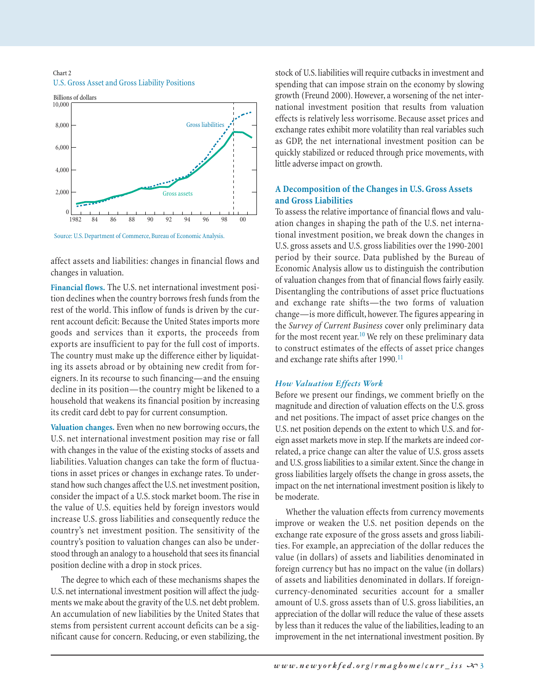#### Chart 2 U.S. Gross Asset and Gross Liability Positions



Source: U.S. Department of Commerce, Bureau of Economic Analysis.

affect assets and liabilities: changes in financial flows and changes in valuation.

**Financial flows.** The U.S. net international investment position declines when the country borrows fresh funds from the rest of the world. This inflow of funds is driven by the current account deficit: Because the United States imports more goods and services than it exports, the proceeds from exports are insufficient to pay for the full cost of imports. The country must make up the difference either by liquidating its assets abroad or by obtaining new credit from foreigners. In its recourse to such financing—and the ensuing decline in its position—the country might be likened to a household that weakens its financial position by increasing its credit card debt to pay for current consumption.

**Valuation changes.** Even when no new borrowing occurs, the U.S. net international investment position may rise or fall with changes in the value of the existing stocks of assets and liabilities. Valuation changes can take the form of fluctuations in asset prices or changes in exchange rates. To understand how such changes affect the U.S. net investment position, consider the impact of a U.S. stock market boom. The rise in the value of U.S. equities held by foreign investors would increase U.S. gross liabilities and consequently reduce the country's net investment position. The sensitivity of the country's position to valuation changes can also be understood through an analogy to a household that sees its financial position decline with a drop in stock prices.

The degree to which each of these mechanisms shapes the U.S. net international investment position will affect the judgments we make about the gravity of the U.S. net debt problem. An accumulation of new liabilities by the United States that stems from persistent current account deficits can be a significant cause for concern. Reducing, or even stabilizing, the stock of U.S. liabilities will require cutbacks in investment and spending that can impose strain on the economy by slowing growth (Freund 2000). However, a worsening of the net international investment position that results from valuation effects is relatively less worrisome. Because asset prices and exchange rates exhibit more volatility than real variables such as GDP, the net international investment position can be quickly stabilized or reduced through price movements, with little adverse impact on growth.

## **A Decomposition of the Changes in U.S. Gross Assets and Gross Liabilities**

To assess the relative importance of financial flows and valuation changes in shaping the path of the U.S. net international investment position, we break down the changes in U.S. gross assets and U.S. gross liabilities over the 1990-2001 period by their source. Data published by the Bureau of Economic Analysis allow us to distinguish the contribution of valuation changes from that of financial flows fairly easily. Disentangling the contributions of asset price fluctuations and exchange rate shifts—the two forms of valuation change—is more difficult, however. The figures appearing in the *Survey of Current Business* cover only preliminary data for the most recent year.<sup>10</sup> We rely on these preliminary data to construct estimates of the effects of asset price changes and exchange rate shifts after 1990.<sup>11</sup>

## *How Valuation Effects Work*

Before we present our findings, we comment briefly on the magnitude and direction of valuation effects on the U.S. gross and net positions. The impact of asset price changes on the U.S. net position depends on the extent to which U.S. and foreign asset markets move in step. If the markets are indeed correlated, a price change can alter the value of U.S. gross assets and U.S. gross liabilities to a similar extent. Since the change in gross liabilities largely offsets the change in gross assets, the impact on the net international investment position is likely to be moderate.

Whether the valuation effects from currency movements improve or weaken the U.S. net position depends on the exchange rate exposure of the gross assets and gross liabilities. For example, an appreciation of the dollar reduces the value (in dollars) of assets and liabilities denominated in foreign currency but has no impact on the value (in dollars) of assets and liabilities denominated in dollars. If foreigncurrency-denominated securities account for a smaller amount of U.S. gross assets than of U.S. gross liabilities, an appreciation of the dollar will reduce the value of these assets by less than it reduces the value of the liabilities, leading to an improvement in the net international investment position. By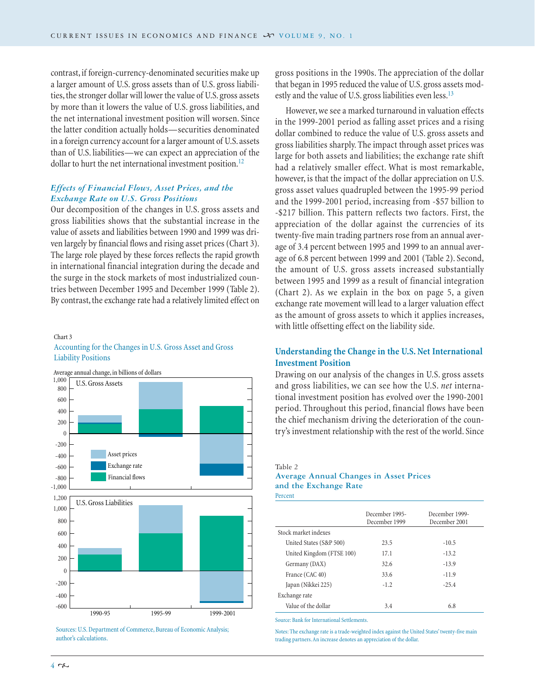contrast, if foreign-currency-denominated securities make up a larger amount of U.S. gross assets than of U.S. gross liabilities, the stronger dollar will lower the value of U.S. gross assets by more than it lowers the value of U.S. gross liabilities, and the net international investment position will worsen. Since the latter condition actually holds—securities denominated in a foreign currency account for a larger amount of U.S. assets than of U.S. liabilities—we can expect an appreciation of the dollar to hurt the net international investment position.<sup>12</sup>

## *Effects of Financial Flows, Asset Prices, and the Exchange Rate on U.S. Gross Positions*

Our decomposition of the changes in U.S. gross assets and gross liabilities shows that the substantial increase in the value of assets and liabilities between 1990 and 1999 was driven largely by financial flows and rising asset prices (Chart 3). The large role played by these forces reflects the rapid growth in international financial integration during the decade and the surge in the stock markets of most industrialized countries between December 1995 and December 1999 (Table 2). By contrast, the exchange rate had a relatively limited effect on

## Chart 3 Accounting for the Changes in U.S. Gross Asset and Gross Liability Positions



Sources: U.S. Department of Commerce, Bureau of Economic Analysis; author's calculations.

gross positions in the 1990s. The appreciation of the dollar that began in 1995 reduced the value of U.S. gross assets modestly and the value of U.S. gross liabilities even less.<sup>13</sup>

However, we see a marked turnaround in valuation effects in the 1999-2001 period as falling asset prices and a rising dollar combined to reduce the value of U.S. gross assets and gross liabilities sharply. The impact through asset prices was large for both assets and liabilities; the exchange rate shift had a relatively smaller effect. What is most remarkable, however, is that the impact of the dollar appreciation on U.S. gross asset values quadrupled between the 1995-99 period and the 1999-2001 period, increasing from -\$57 billion to -\$217 billion. This pattern reflects two factors. First, the appreciation of the dollar against the currencies of its twenty-five main trading partners rose from an annual average of 3.4 percent between 1995 and 1999 to an annual average of 6.8 percent between 1999 and 2001 (Table 2). Second, the amount of U.S. gross assets increased substantially between 1995 and 1999 as a result of financial integration (Chart 2). As we explain in the box on page 5, a given exchange rate movement will lead to a larger valuation effect as the amount of gross assets to which it applies increases, with little offsetting effect on the liability side.

## **Understanding the Change in the U.S. Net International Investment Position**

Drawing on our analysis of the changes in U.S. gross assets and gross liabilities, we can see how the U.S. *net* international investment position has evolved over the 1990-2001 period. Throughout this period, financial flows have been the chief mechanism driving the deterioration of the country's investment relationship with the rest of the world. Since

#### Table 2

# **Average Annual Changes in Asset Prices and the Exchange Rate**

Percent

|                           | December 1995-<br>December 1999 | December 1999-<br>December 2001 |
|---------------------------|---------------------------------|---------------------------------|
| Stock market indexes      |                                 |                                 |
| United States (S&P 500)   | 23.5                            | $-10.5$                         |
| United Kingdom (FTSE 100) | 17.1                            | $-13.2$                         |
| Germany (DAX)             | 32.6                            | $-13.9$                         |
| France (CAC 40)           | 33.6                            | $-11.9$                         |
| Japan (Nikkei 225)        | $-1.2$                          | $-25.4$                         |
| Exchange rate             |                                 |                                 |
| Value of the dollar       | 3.4                             | 6.8                             |

Source: Bank for International Settlements.

Notes: The exchange rate is a trade-weighted index against the United States' twenty-five main trading partners. An increase denotes an appreciation of the dollar.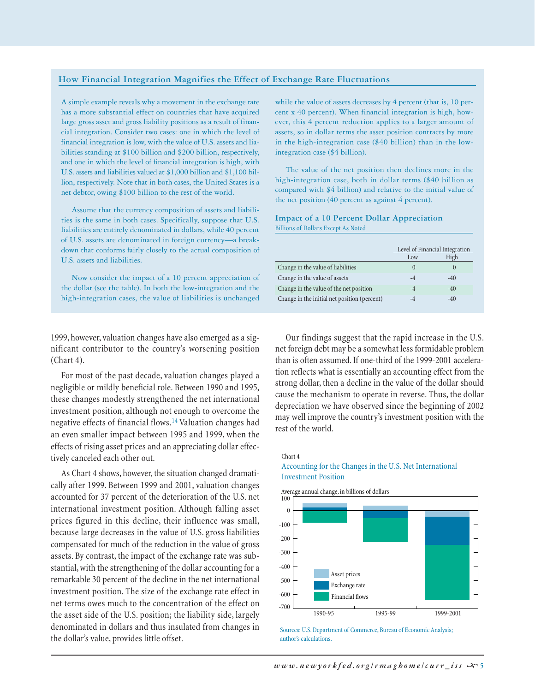#### **How Financial Integration Magnifies the Effect of Exchange Rate Fluctuations**

A simple example reveals why a movement in the exchange rate has a more substantial effect on countries that have acquired large gross asset and gross liability positions as a result of financial integration. Consider two cases: one in which the level of financial integration is low, with the value of U.S. assets and liabilities standing at \$100 billion and \$200 billion, respectively, and one in which the level of financial integration is high, with U.S. assets and liabilities valued at \$1,000 billion and \$1,100 billion, respectively. Note that in both cases, the United States is a net debtor, owing \$100 billion to the rest of the world.

Assume that the currency composition of assets and liabilities is the same in both cases. Specifically, suppose that U.S. liabilities are entirely denominated in dollars, while 40 percent of U.S. assets are denominated in foreign currency—a breakdown that conforms fairly closely to the actual composition of U.S. assets and liabilities.

Now consider the impact of a 10 percent appreciation of the dollar (see the table). In both the low-integration and the high-integration cases, the value of liabilities is unchanged

while the value of assets decreases by 4 percent (that is, 10 percent x 40 percent). When financial integration is high, however, this 4 percent reduction applies to a larger amount of assets, so in dollar terms the asset position contracts by more in the high-integration case (\$40 billion) than in the lowintegration case (\$4 billion).

The value of the net position then declines more in the high-integration case, both in dollar terms (\$40 billion as compared with \$4 billion) and relative to the initial value of the net position (40 percent as against 4 percent).

#### **Impact of a 10 Percent Dollar Appreciation** Billions of Dollars Except As Noted

|                                              | Level of Financial Integration |       |
|----------------------------------------------|--------------------------------|-------|
|                                              | Low                            | High  |
| Change in the value of liabilities           |                                |       |
| Change in the value of assets                |                                | $-40$ |
| Change in the value of the net position      |                                | $-40$ |
| Change in the initial net position (percent) |                                | $-40$ |

1999, however, valuation changes have also emerged as a significant contributor to the country's worsening position (Chart 4).

For most of the past decade, valuation changes played a negligible or mildly beneficial role. Between 1990 and 1995, these changes modestly strengthened the net international investment position, although not enough to overcome the negative effects of financial flows.<sup>14</sup> Valuation changes had an even smaller impact between 1995 and 1999, when the effects of rising asset prices and an appreciating dollar effectively canceled each other out.

As Chart 4 shows, however, the situation changed dramatically after 1999. Between 1999 and 2001, valuation changes accounted for 37 percent of the deterioration of the U.S. net international investment position. Although falling asset prices figured in this decline, their influence was small, because large decreases in the value of U.S. gross liabilities compensated for much of the reduction in the value of gross assets. By contrast, the impact of the exchange rate was substantial, with the strengthening of the dollar accounting for a remarkable 30 percent of the decline in the net international investment position. The size of the exchange rate effect in net terms owes much to the concentration of the effect on the asset side of the U.S. position; the liability side, largely denominated in dollars and thus insulated from changes in the dollar's value, provides little offset.

Our findings suggest that the rapid increase in the U.S. net foreign debt may be a somewhat less formidable problem than is often assumed. If one-third of the 1999-2001 acceleration reflects what is essentially an accounting effect from the strong dollar, then a decline in the value of the dollar should cause the mechanism to operate in reverse. Thus, the dollar depreciation we have observed since the beginning of 2002 may well improve the country's investment position with the rest of the world.

## Accounting for the Changes in the U.S. Net International Investment Position





Sources: U.S. Department of Commerce, Bureau of Economic Analysis; author's calculations.

Chart 4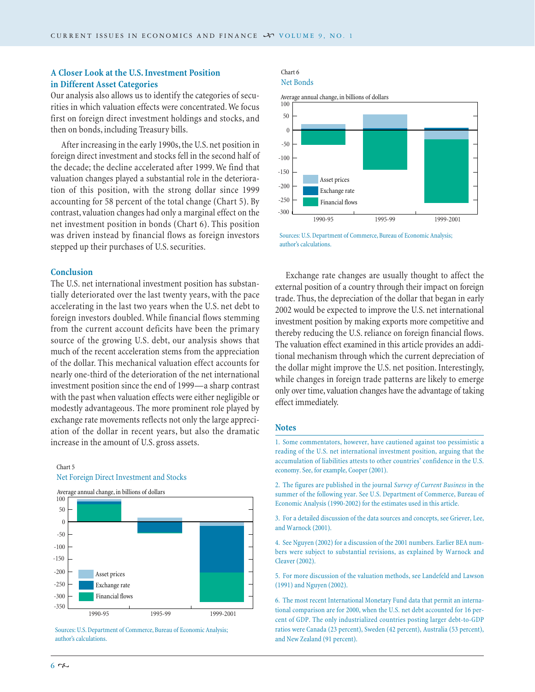## **A Closer Look at the U.S. Investment Position in Different Asset Categories**

Our analysis also allows us to identify the categories of securities in which valuation effects were concentrated. We focus first on foreign direct investment holdings and stocks, and then on bonds, including Treasury bills.

After increasing in the early 1990s, the U.S. net position in foreign direct investment and stocks fell in the second half of the decade; the decline accelerated after 1999. We find that valuation changes played a substantial role in the deterioration of this position, with the strong dollar since 1999 accounting for 58 percent of the total change (Chart 5). By contrast, valuation changes had only a marginal effect on the net investment position in bonds (Chart 6). This position was driven instead by financial flows as foreign investors stepped up their purchases of U.S. securities.

#### **Conclusion**

Chart 5

The U.S. net international investment position has substantially deteriorated over the last twenty years, with the pace accelerating in the last two years when the U.S. net debt to foreign investors doubled. While financial flows stemming from the current account deficits have been the primary source of the growing U.S. debt, our analysis shows that much of the recent acceleration stems from the appreciation of the dollar. This mechanical valuation effect accounts for nearly one-third of the deterioration of the net international investment position since the end of 1999—a sharp contrast with the past when valuation effects were either negligible or modestly advantageous. The more prominent role played by exchange rate movements reflects not only the large appreciation of the dollar in recent years, but also the dramatic increase in the amount of U.S. gross assets.

#### Average annual change, in billions of dollars Financial flows -350 -300 -250 -200 -150 -100 -50  $\sqrt{2}$ 50 100 1990-95 1995-99 1999-2001 Exchange rate Asset prices

# Net Foreign Direct Investment and Stocks

#### Chart 6 Net Bonds



Sources: U.S. Department of Commerce, Bureau of Economic Analysis; author's calculations.

Exchange rate changes are usually thought to affect the external position of a country through their impact on foreign trade. Thus, the depreciation of the dollar that began in early 2002 would be expected to improve the U.S. net international investment position by making exports more competitive and thereby reducing the U.S. reliance on foreign financial flows. The valuation effect examined in this article provides an additional mechanism through which the current depreciation of the dollar might improve the U.S. net position. Interestingly, while changes in foreign trade patterns are likely to emerge only over time, valuation changes have the advantage of taking effect immediately.

## **Notes**

1. Some commentators, however, have cautioned against too pessimistic a reading of the U.S. net international investment position, arguing that the accumulation of liabilities attests to other countries' confidence in the U.S. economy. See, for example, Cooper (2001).

2. The figures are published in the journal *Survey of Current Business* in the summer of the following year. See U.S. Department of Commerce, Bureau of Economic Analysis (1990-2002) for the estimates used in this article.

3. For a detailed discussion of the data sources and concepts, see Griever, Lee, and Warnock (2001).

4. See Nguyen (2002) for a discussion of the 2001 numbers. Earlier BEA numbers were subject to substantial revisions, as explained by Warnock and Cleaver (2002).

5. For more discussion of the valuation methods, see Landefeld and Lawson (1991) and Nguyen (2002).

6. The most recent International Monetary Fund data that permit an international comparison are for 2000, when the U.S. net debt accounted for 16 percent of GDP. The only industrialized countries posting larger debt-to-GDP ratios were Canada (23 percent), Sweden (42 percent), Australia (53 percent), and New Zealand (91 percent).

Sources: U.S. Department of Commerce, Bureau of Economic Analysis; author's calculations.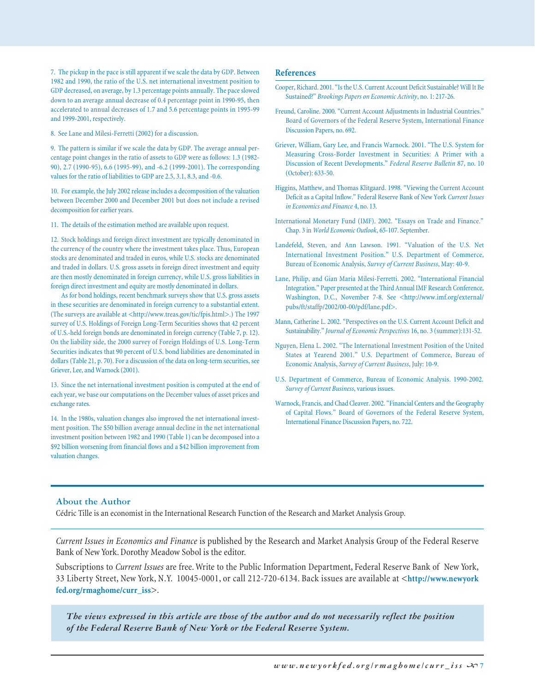7. The pickup in the pace is still apparent if we scale the data by GDP. Between 1982 and 1990, the ratio of the U.S. net international investment position to GDP decreased, on average, by 1.3 percentage points annually. The pace slowed down to an average annual decrease of 0.4 percentage point in 1990-95, then accelerated to annual decreases of 1.7 and 5.6 percentage points in 1995-99 and 1999-2001, respectively.

8. See Lane and Milesi-Ferretti (2002) for a discussion.

9. The pattern is similar if we scale the data by GDP. The average annual percentage point changes in the ratio of assets to GDP were as follows: 1.3 (1982- 90), 2.7 (1990-95), 6.6 (1995-99), and -6.2 (1999-2001). The corresponding values for the ratio of liabilities to GDP are 2.5, 3.1, 8.3, and -0.6.

10. For example, the July 2002 release includes a decomposition of the valuation between December 2000 and December 2001 but does not include a revised decomposition for earlier years.

11. The details of the estimation method are available upon request.

12. Stock holdings and foreign direct investment are typically denominated in the currency of the country where the investment takes place. Thus, European stocks are denominated and traded in euros, while U.S. stocks are denominated and traded in dollars. U.S. gross assets in foreign direct investment and equity are then mostly denominated in foreign currency, while U.S. gross liabilities in foreign direct investment and equity are mostly denominated in dollars.

As for bond holdings, recent benchmark surveys show that U.S. gross assets in these securities are denominated in foreign currency to a substantial extent. (The surveys are available at <http://www.treas.gov/tic/fpis.html>.) The 1997 survey of U.S. Holdings of Foreign Long-Term Securities shows that 42 percent of U.S.-held foreign bonds are denominated in foreign currency (Table 7, p. 12). On the liability side, the 2000 survey of Foreign Holdings of U.S. Long-Term Securities indicates that 90 percent of U.S. bond liabilities are denominated in dollars (Table 21, p. 70). For a discussion of the data on long-term securities, see Griever, Lee, and Warnock (2001).

13. Since the net international investment position is computed at the end of each year, we base our computations on the December values of asset prices and exchange rates.

14. In the 1980s, valuation changes also improved the net international investment position. The \$50 billion average annual decline in the net international investment position between 1982 and 1990 (Table 1) can be decomposed into a \$92 billion worsening from financial flows and a \$42 billion improvement from valuation changes.

#### **References**

- Cooper, Richard. 2001. "Is the U.S. Current Account Deficit Sustainable? Will It Be Sustained?" *Brookings Papers on Economic Activity*, no. 1: 217-26.
- Freund, Caroline. 2000. "Current Account Adjustments in Industrial Countries." Board of Governors of the Federal Reserve System, International Finance Discussion Papers, no. 692.
- Griever, William, Gary Lee, and Francis Warnock. 2001. "The U.S. System for Measuring Cross-Border Investment in Securities: A Primer with a Discussion of Recent Developments." *Federal Reserve Bulletin* 87, no. 10 (October): 633-50.
- Higgins, Matthew, and Thomas Klitgaard. 1998. "Viewing the Current Account Deficit as a Capital Inflow." Federal Reserve Bank of New York *Current Issues in Economics and Finance* 4, no. 13.
- International Monetary Fund (IMF). 2002. "Essays on Trade and Finance." Chap. 3 in *World Economic Outlook*, 65-107. September.
- Landefeld, Steven, and Ann Lawson. 1991. "Valuation of the U.S. Net International Investment Position." U.S. Department of Commerce, Bureau of Economic Analysis, *Survey of Current Business*, May: 40-9.
- Lane, Philip, and Gian Maria Milesi-Ferretti. 2002. "International Financial Integration." Paper presented at the Third Annual IMF Research Conference, Washington, D.C., November 7-8. See <http://www.imf.org/external/ pubs/ft/staffp/2002/00-00/pdf/lane.pdf>.
- Mann, Catherine L. 2002. "Perspectives on the U.S. Current Account Deficit and Sustainability." *Journal of Economic Perspectives* 16, no. 3 (summer):131-52.
- Nguyen, Elena L. 2002. "The International Investment Position of the United States at Yearend 2001." U.S. Department of Commerce, Bureau of Economic Analysis, *Survey of Current Business*, July: 10-9.
- U.S. Department of Commerce, Bureau of Economic Analysis. 1990-2002. *Survey of Current Business*, various issues.
- Warnock, Francis, and Chad Cleaver. 2002. "Financial Centers and the Geography of Capital Flows." Board of Governors of the Federal Reserve System, International Finance Discussion Papers, no. 722.

## **About the Author**

Cédric Tille is an economist in the International Research Function of the Research and Market Analysis Group.

*Current Issues in Economics and Finance* is published by the Research and Market Analysis Group of the Federal Reserve Bank of New York. Dorothy Meadow Sobol is the editor.

Subscriptions to *Current Issues* are free. Write to the Public Information Department, Federal Reserve Bank of New York, 33 Liberty Street, New York, N.Y. 10045-0001, or call 212-720-6134. Back issues are available at <**http://www.newyork fed.org/rmaghome/curr\_iss**>.

*The views expressed in this article are those of the author and do not necessarily reflect the position of the Federal Reserve Bank of New York or the Federal Reserve System.*